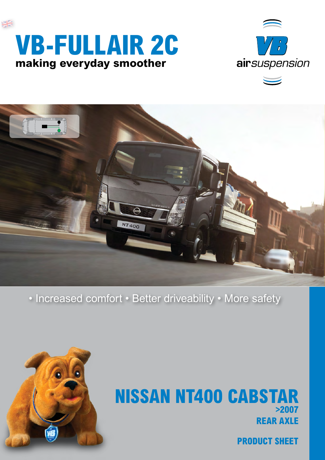





• Increased comfort • Better driveability • More safety



## **rear axle Nissan NT400 Cabstar >2007**

**product sheet**